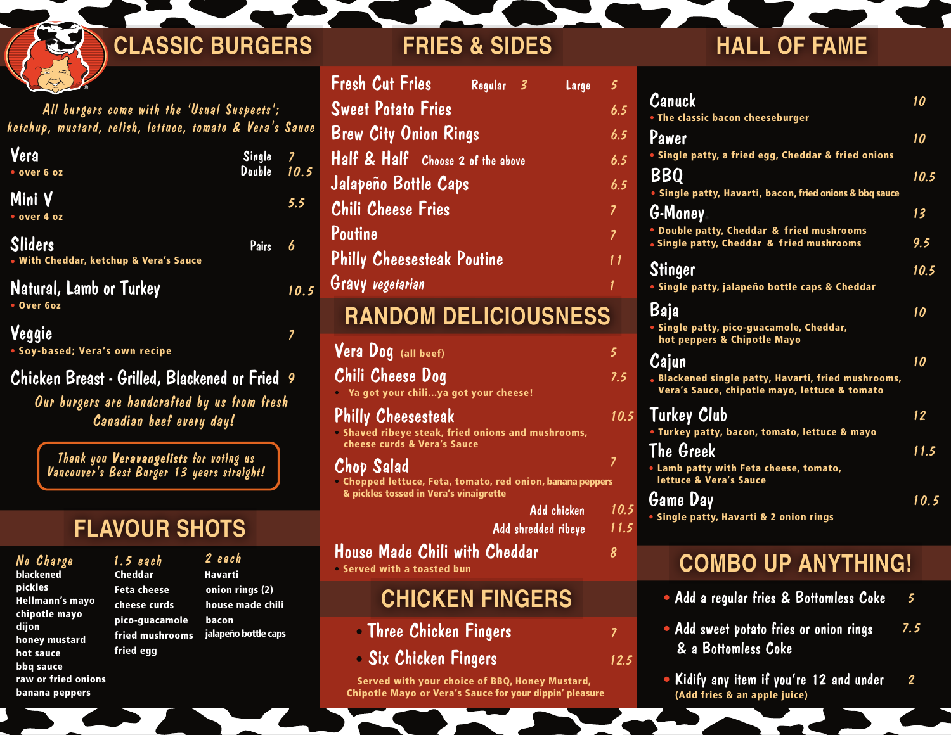### 20oz Bottomless Fountain Coke 2.5 L ®

All burgers come with the 'Usual Suspects'; ketchup, mustard, relish, lettuce, tomato & Vera's Sauce<br>.

| Vera<br>• over 6 oz                                      | Single 7<br>Double 10.5 |      |
|----------------------------------------------------------|-------------------------|------|
| Mini V<br>• over 4 oz                                    |                         | 5.5  |
| <b>Sliders</b><br>• With Cheddar, ketchup & Vera's Sauce | Pairs                   | 6    |
| Natural, Lamb or Turkey<br>• Over 6oz                    |                         | 10.5 |
| Veggie<br>• Soy-based; Vera's own recipe                 |                         |      |

 $\boldsymbol{C}$ hicken Breast - Grilled, Blackened or Fried  $\,$  9

Canadian beef every day! Our burgers are handcrafted by us from fresh

**Thank you Veravangelists for voting us** Vancouver's Best Burger 13 years straight!

# **FLAVOUR SHOTS**

Cheddar **Feta chee** cheese cu pico-guac fried mus

fried egg

No Charge 1.5 each blackened pickles Hellmann's mayo chipotle mayo dijon honey mustard hot sauce bbq sauce raw or fried onions banana peppers

|             | 2 each                      |
|-------------|-----------------------------|
|             | <b>Havarti</b>              |
| se.         | onion rings (2)             |
| rds         | house made chili            |
| amole bacon |                             |
|             | nrooms jalapeño bottle caps |
|             |                             |

| <b>CLASSIC BURGERS</b> | <b>FRIES &amp; SIDES</b> | <b>HALL OF FAME</b> |
|------------------------|--------------------------|---------------------|
|                        |                          |                     |

| <b>Fresh Cut Fries</b>                                                                                             | Regular 3 | Large | 5.                      |
|--------------------------------------------------------------------------------------------------------------------|-----------|-------|-------------------------|
| <b>Sweet Potato Fries</b>                                                                                          |           |       | 6.5                     |
| <b>Brew City Onion Rings</b>                                                                                       |           |       | 6.5                     |
| Half & Half Choose 2 of the above                                                                                  |           |       | 6.5                     |
| Jalapeño Bottle Caps                                                                                               |           |       | 6.5                     |
| <b>Chili Cheese Fries</b>                                                                                          |           |       | $\overline{z}$          |
| Poutine                                                                                                            |           |       | $\overline{7}$          |
| <b>Philly Cheesesteak Poutine</b>                                                                                  |           |       | 11                      |
| Gravy vegetarian                                                                                                   |           |       | 1                       |
| <b>RANDOM DELICIOUSNESS</b>                                                                                        |           |       |                         |
| Vera Dog (all beef)                                                                                                |           |       | 5                       |
|                                                                                                                    |           |       |                         |
| Chili Cheese Dog<br>Ya got your chiliya got your cheese!                                                           |           |       | 7.5                     |
| <b>Philly Cheesesteak</b><br>. Shaved ribeye steak, fried onions and mushrooms,<br>cheese curds & Vera's Sauce     |           |       | 10.                     |
| Chop Salad<br>• Chopped lettuce, Feta, tomato, red onion, banana peppers<br>& pickles tossed in Vera's vinaigrette |           |       | $\overline{\mathbf{z}}$ |

Add shredded ribeye 11

8

House Made Chili with Cheddar 1886 House Made Chili with Cheddar  $\frac{3}{2}$  $\mathbf{m} = 129$  17449 Hwy 109 • Served with a toasted bun

#### Pitt Meadows Meadows Meadows Meadows Meadows Meadows Meadows Meadows Meadows Meadows Meadows Meadows Meadows M **CHICKEN FINGERS**

- Port Moody Newport Village 604.492.3392 • Three Chicken Fingers 7
- Ottawa Bells Chicken Finance 613.829.9133334.829.913334.829.913334.913334.913334.913334.913334.91334.91334.913 • Six Chicken Fingers 12.5

Served with your choice of BBQ, Honey Mustard, Chipotle Mayo or Vera's Sauce for your dippin' pleasure

| 5    |                                                                                                      |      |
|------|------------------------------------------------------------------------------------------------------|------|
| 6.5  | Canuck                                                                                               | 10   |
|      | . The classic bacon cheeseburger                                                                     |      |
| 6.5  | Pawer                                                                                                | 10   |
| 6.5  | • Single patty, a fried egg, Cheddar & fried onions                                                  |      |
| 6.5  | BBQ                                                                                                  | 10.5 |
|      | • Single patty, Havarti, bacon, fried onions & bbq sauce                                             |      |
| 7    | G-Money                                                                                              | 13   |
| 7    | . Double patty, Cheddar & fried mushrooms<br>• Single patty, Cheddar & fried mushrooms               | 9.5  |
| 11   | Stinger                                                                                              | 10.5 |
| 1    | • Single patty, jalapeño bottle caps & Cheddar                                                       |      |
|      | Baja                                                                                                 | 10   |
|      | • Single patty, pico-guacamole, Cheddar,<br>hot peppers & Chipotle Mayo                              |      |
| 5    | Cajun                                                                                                | 10   |
| 7.5  | . Blackened single patty, Havarti, fried mushrooms,<br>Vera's Sauce, chipotle mayo, lettuce & tomato |      |
| 10.5 | <b>Turkey Club</b>                                                                                   | 12   |
|      | . Turkey patty, bacon, tomato, lettuce & mayo                                                        |      |
|      | The Greek                                                                                            | 11.5 |
|      | . Lamb patty with Feta cheese, tomato,<br>lettuce & Vera's Sauce                                     |      |
|      | Game Day                                                                                             | 10.5 |
| 10.5 | · Single patty, Havarti & 2 onion rings                                                              |      |

## **® COMBO UP ANYTHING!**

- Add a regular fries & Bottomless Coke 5
- Add sweet potato fries or onion rings & a Bottomless Coke 7.5
- Kidify any item if you're 12 and under  $2$ <br>(Add fries & an apple juice) (Add fries & an apple juice)